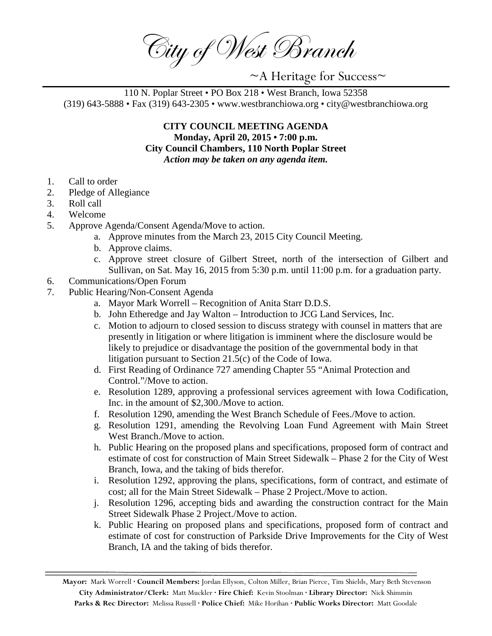City of West Branch

~A Heritage for Success~

110 N. Poplar Street • PO Box 218 • West Branch, Iowa 52358 (319) 643-5888 • Fax (319) 643-2305 • www.westbranchiowa.org • city@westbranchiowa.org

> **CITY COUNCIL MEETING AGENDA Monday, April 20, 2015 • 7:00 p.m. City Council Chambers, 110 North Poplar Street** *Action may be taken on any agenda item.*

- 1. Call to order
- 2. Pledge of Allegiance
- 3. Roll call
- 4. Welcome
- 5. Approve Agenda/Consent Agenda/Move to action.
	- a. Approve minutes from the March 23, 2015 City Council Meeting.
	- b. Approve claims.
	- c. Approve street closure of Gilbert Street, north of the intersection of Gilbert and Sullivan, on Sat. May 16, 2015 from 5:30 p.m. until 11:00 p.m. for a graduation party.
- 6. Communications/Open Forum
- 7. Public Hearing/Non-Consent Agenda
	- a. Mayor Mark Worrell Recognition of Anita Starr D.D.S.
	- b. John Etheredge and Jay Walton Introduction to JCG Land Services, Inc.
	- c. Motion to adjourn to closed session to discuss strategy with counsel in matters that are presently in litigation or where litigation is imminent where the disclosure would be likely to prejudice or disadvantage the position of the governmental body in that litigation pursuant to Section 21.5(c) of the Code of Iowa.
	- d. First Reading of Ordinance 727 amending Chapter 55 "Animal Protection and Control."/Move to action.
	- e. Resolution 1289, approving a professional services agreement with Iowa Codification, Inc. in the amount of \$2,300./Move to action.
	- f. Resolution 1290, amending the West Branch Schedule of Fees./Move to action.
	- g. Resolution 1291, amending the Revolving Loan Fund Agreement with Main Street West Branch./Move to action.
	- h. Public Hearing on the proposed plans and specifications, proposed form of contract and estimate of cost for construction of Main Street Sidewalk – Phase 2 for the City of West Branch, Iowa, and the taking of bids therefor.
	- i. Resolution 1292, approving the plans, specifications, form of contract, and estimate of cost; all for the Main Street Sidewalk – Phase 2 Project./Move to action.
	- j. Resolution 1296, accepting bids and awarding the construction contract for the Main Street Sidewalk Phase 2 Project./Move to action.
	- k. Public Hearing on proposed plans and specifications, proposed form of contract and estimate of cost for construction of Parkside Drive Improvements for the City of West Branch, IA and the taking of bids therefor.

**Mayor:** Mark Worrell **· Council Members:** Jordan Ellyson, Colton Miller, Brian Pierce, Tim Shields, Mary Beth Stevenson **City Administrator/Clerk:** Matt Muckler **· Fire Chief:** Kevin Stoolman **· Library Director:** Nick Shimmin **Parks & Rec Director:** Melissa Russell **· Police Chief:** Mike Horihan **· Public Works Director:** Matt Goodale